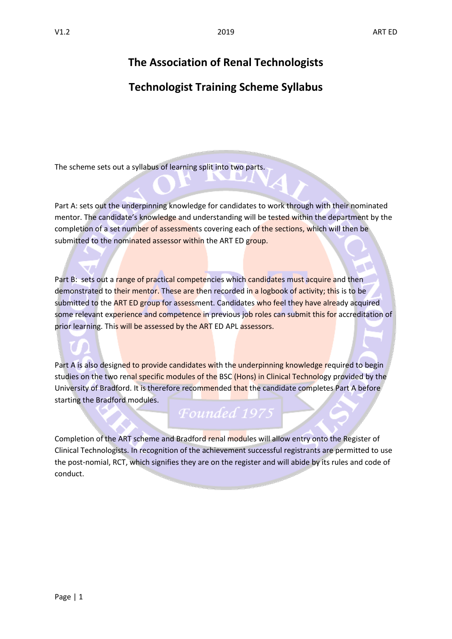# **The Association of Renal Technologists**

# **Technologist Training Scheme Syllabus**

The scheme sets out a syllabus of learning split into two parts.

Part A: sets out the underpinning knowledge for candidates to work through with their nominated mentor. The candidate's knowledge and understanding will be tested within the department by the completion of a set number of assessments covering each of the sections, which will then be submitted to the nominated assessor within the ART ED group.

Part B: sets out a range of practical competencies which candidates must acquire and then demonstrated to their mentor. These are then recorded in a logbook of activity; this is to be submitted to the ART ED group for assessment. Candidates who feel they have already acquired some relevant experience and competence in previous job roles can submit this for accreditation of prior learning. This will be assessed by the ART ED APL assessors.

Part A is also designed to provide candidates with the underpinning knowledge required to begin studies on the two renal specific modules of the BSC (Hons) in Clinical Technology provided by the University of Bradford. It is therefore recommended that the candidate completes Part A before starting the Bradford modules.

# *Founded* 1975

Completion of the ART scheme and Bradford renal modules will allow entry onto the Register of Clinical Technologists. In recognition of the achievement successful registrants are permitted to use the post-nomial, RCT, which signifies they are on the register and will abide by its rules and code of conduct.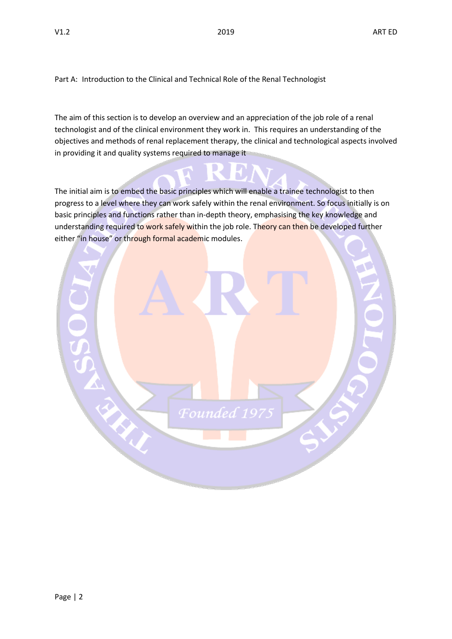Part A: Introduction to the Clinical and Technical Role of the Renal Technologist

The aim of this section is to develop an overview and an appreciation of the job role of a renal technologist and of the clinical environment they work in. This requires an understanding of the objectives and methods of renal replacement therapy, the clinical and technological aspects involved in providing it and quality systems required to manage it

Ю.

The initial aim is to embed the basic principles which will enable a trainee technologist to then progress to a level where they can work safely within the renal environment. So focus initially is on basic principles and functions rather than in-depth theory, emphasising the key knowledge and understanding required to work safely within the job role. Theory can then be developed further either "in house" or through formal academic modules.

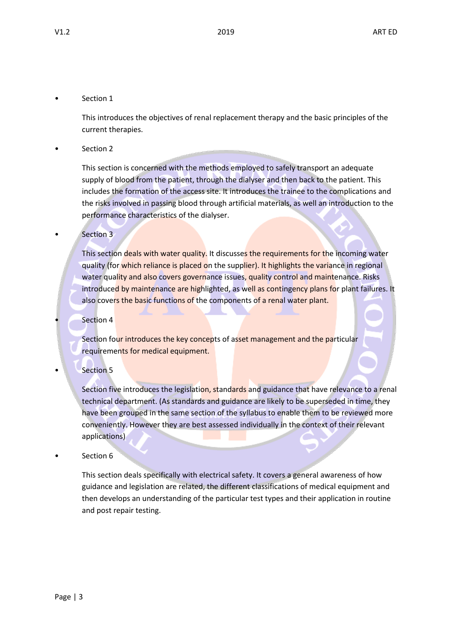# Section 1

This introduces the objectives of renal replacement therapy and the basic principles of the current therapies.

Section 2

This section is concerned with the methods employed to safely transport an adequate supply of blood from the patient, through the dialyser and then back to the patient. This includes the formation of the access site. It introduces the trainee to the complications and the risks involved in passing blood through artificial materials, as well an introduction to the performance characteristics of the dialyser.

# Section 3

This section deals with water quality. It discusses the requirements for the incoming water quality (for which reliance is placed on the supplier). It highlights the variance in regional water quality and also covers governance issues, quality control and maintenance. Risks introduced by maintenance are highlighted, as well as contingency plans for plant failures. It also covers the basic functions of the components of a renal water plant.

**Section 4** 

Section four introduces the key concepts of asset management and the particular requirements for medical equipment.

**Section 5** 

Section five introduces the legislation, standards and guidance that have relevance to a renal technical department. (As standards and guidance are likely to be superseded in time, they have been grouped in the same section of the syllabus to enable them to be reviewed more conveniently. However they are best assessed individually in the context of their relevant applications)

Section 6

This section deals specifically with electrical safety. It covers a general awareness of how guidance and legislation are related, the different classifications of medical equipment and then develops an understanding of the particular test types and their application in routine and post repair testing.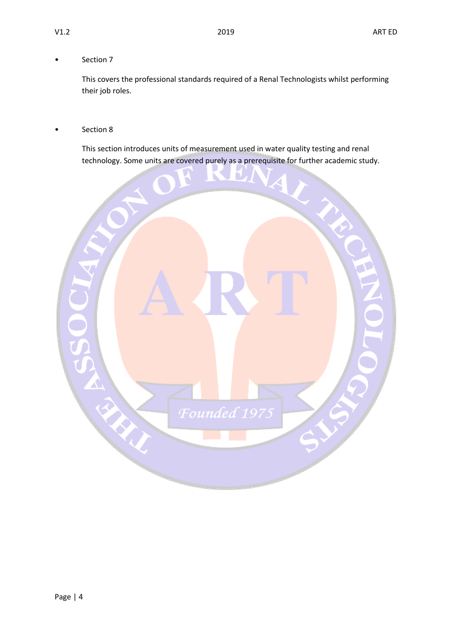# • Section 7

This covers the professional standards required of a Renal Technologists whilst performing their job roles.

# Section 8

This section introduces units of measurement used in water quality testing and renal technology. Some units are covered purely as a prerequisite for further academic study.

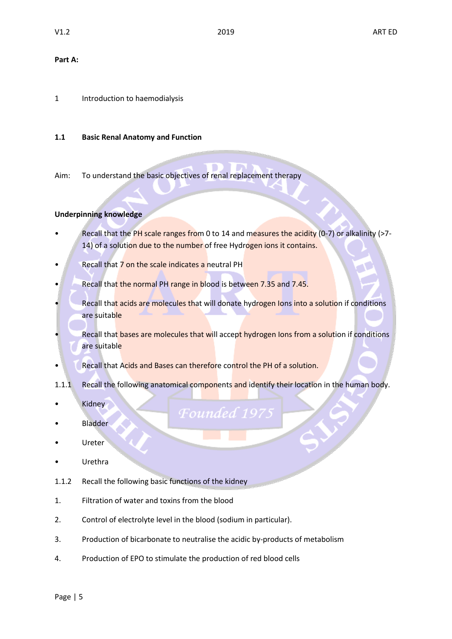#### **Part A:**

1 Introduction to haemodialysis

#### **1.1 Basic Renal Anatomy and Function**

Aim: To understand the basic objectives of renal replacement therapy

#### **Underpinning knowledge**

Recall that the PH scale ranges from 0 to 14 and measures the acidity (0-7) or alkalinity (>7-14) of a solution due to the number of free Hydrogen ions it contains.

٠

- Recall that 7 on the scale indicates a neutral PH
- Recall that the normal PH range in blood is between 7.35 and 7.45.
- Recall that acids are molecules that will donate hydrogen Ions into a solution if conditions are suitable
- Recall that bases are molecules that will accept hydrogen Ions from a solution if conditions are suitable
- Recall that Acids and Bases can therefore control the PH of a solution.
- 1.1.1 Recall the following anatomical components and identify their location in the human body.

Founded 19

- **Kidney**
- **Bladder**
- **Ureter**
- **Urethra**
- 1.1.2 Recall the following basic functions of the kidney
- 1. Filtration of water and toxins from the blood
- 2. Control of electrolyte level in the blood (sodium in particular).
- 3. Production of bicarbonate to neutralise the acidic by-products of metabolism
- 4. Production of EPO to stimulate the production of red blood cells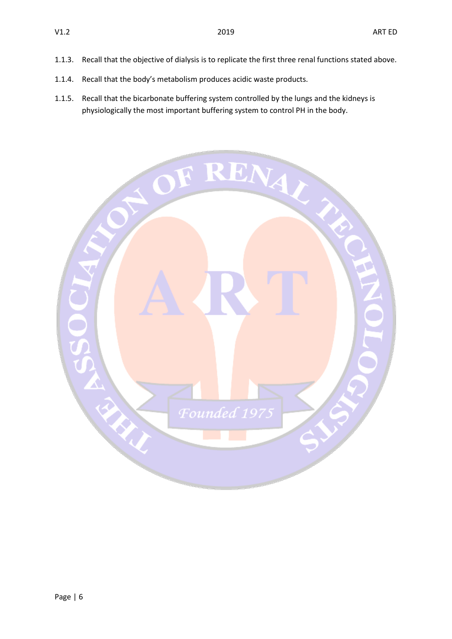- 1.1.3. Recall that the objective of dialysis is to replicate the first three renal functions stated above.
- 1.1.4. Recall that the body's metabolism produces acidic waste products.
- 1.1.5. Recall that the bicarbonate buffering system controlled by the lungs and the kidneys is physiologically the most important buffering system to control PH in the body.

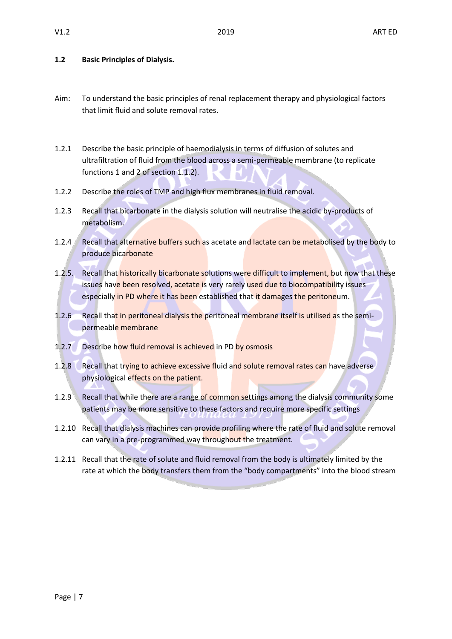### **1.2 Basic Principles of Dialysis.**

- Aim: To understand the basic principles of renal replacement therapy and physiological factors that limit fluid and solute removal rates.
- 1.2.1 Describe the basic principle of haemodialysis in terms of diffusion of solutes and ultrafiltration of fluid from the blood across a semi-permeable membrane (to replicate functions 1 and 2 of section 1.1.2).
- 1.2.2 Describe the roles of TMP and high flux membranes in fluid removal.
- 1.2.3 Recall that bicarbonate in the dialysis solution will neutralise the acidic by-products of metabolism.
- 1.2.4 Recall that alternative buffers such as acetate and lactate can be metabolised by the body to produce bicarbonate
- 1.2.5. Recall that historically bicarbonate solutions were difficult to implement, but now that these issues have been resolved, acetate is very rarely used due to biocompatibility issues especially in PD where it has been established that it damages the peritoneum.
- 1.2.6 Recall that in peritoneal dialysis the peritoneal membrane itself is utilised as the semipermeable membrane
- 1.2.7 Describe how fluid removal is achieved in PD by osmosis
- 1.2.8 Recall that trying to achieve excessive fluid and solute removal rates can have adverse physiological effects on the patient.
- 1.2.9 Recall that while there are a range of common settings among the dialysis community some patients may be more sensitive to these factors and require more specific settings
- 1.2.10 Recall that dialysis machines can provide profiling where the rate of fluid and solute removal can vary in a pre-programmed way throughout the treatment.
- 1.2.11 Recall that the rate of solute and fluid removal from the body is ultimately limited by the rate at which the body transfers them from the "body compartments" into the blood stream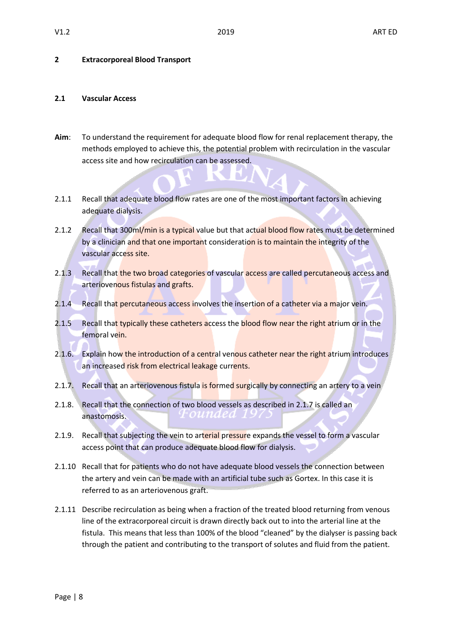#### **2 Extracorporeal Blood Transport**

#### **2.1 Vascular Access**

**Aim**: To understand the requirement for adequate blood flow for renal replacement therapy, the methods employed to achieve this, the potential problem with recirculation in the vascular access site and how recirculation can be assessed.

a.

- 2.1.1 Recall that adequate blood flow rates are one of the most important factors in achieving adequate dialysis.
- 2.1.2 Recall that 300ml/min is a typical value but that actual blood flow rates must be determined by a clinician and that one important consideration is to maintain the integrity of the vascular access site.
- 2.1.3 Recall that the two broad categories of vascular access are called percutaneous access and arteriovenous fistulas and grafts.
- 2.1.4 Recall that percutaneous access involves the insertion of a catheter via a major vein.
- 2.1.5 Recall that typically these catheters access the blood flow near the right atrium or in the femoral vein.
- 2.1.6. Explain how the introduction of a central venous catheter near the right atrium introduces an increased risk from electrical leakage currents.
- 2.1.7. Recall that an arteriovenous fistula is formed surgically by connecting an artery to a vein
- 2.1.8. Recall that the connection of two blood vessels as described in 2.1.7 is called an anastomosis.
- 2.1.9. Recall that subjecting the vein to arterial pressure expands the vessel to form a vascular access point that can produce adequate blood flow for dialysis.
- 2.1.10 Recall that for patients who do not have adequate blood vessels the connection between the artery and vein can be made with an artificial tube such as Gortex. In this case it is referred to as an arteriovenous graft.
- 2.1.11 Describe recirculation as being when a fraction of the treated blood returning from venous line of the extracorporeal circuit is drawn directly back out to into the arterial line at the fistula. This means that less than 100% of the blood "cleaned" by the dialyser is passing back through the patient and contributing to the transport of solutes and fluid from the patient.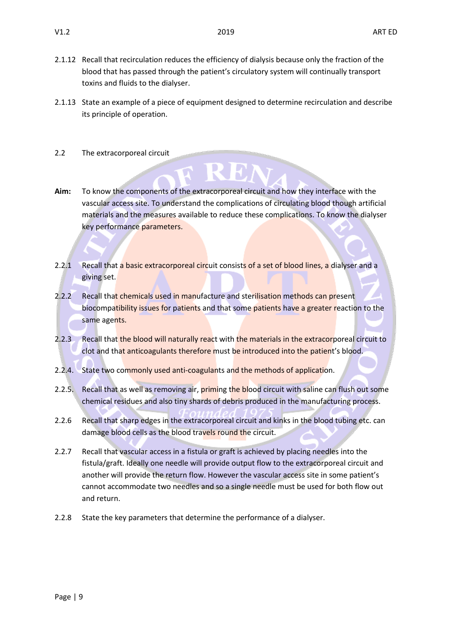- 2.1.12 Recall that recirculation reduces the efficiency of dialysis because only the fraction of the blood that has passed through the patient's circulatory system will continually transport toxins and fluids to the dialyser.
- 2.1.13 State an example of a piece of equipment designed to determine recirculation and describe its principle of operation.
- 2.2 The extracorporeal circuit
- **Aim:** To know the components of the extracorporeal circuit and how they interface with the vascular access site. To understand the complications of circulating blood though artificial materials and the measures available to reduce these complications. To know the dialyser key performance parameters.

EN

- 2.2.1 Recall that a basic extracorporeal circuit consists of a set of blood lines, a dialyser and a giving set.
- 2.2.2 Recall that chemicals used in manufacture and sterilisation methods can present biocompatibility issues for patients and that some patients have a greater reaction to the same agents.
- 2.2.3 Recall that the blood will naturally react with the materials in the extracorporeal circuit to clot and that anticoagulants therefore must be introduced into the patient's blood.
- 2.2.4. State two commonly used anti-coagulants and the methods of application.
- 2.2.5. Recall that as well as removing air, priming the blood circuit with saline can flush out some chemical residues and also tiny shards of debris produced in the manufacturing process.
- 2.2.6 Recall that sharp edges in the extracorporeal circuit and kinks in the blood tubing etc. can damage blood cells as the blood travels round the circuit.
- 2.2.7 Recall that vascular access in a fistula or graft is achieved by placing needles into the fistula/graft. Ideally one needle will provide output flow to the extracorporeal circuit and another will provide the return flow. However the vascular access site in some patient's cannot accommodate two needles and so a single needle must be used for both flow out and return.
- 2.2.8 State the key parameters that determine the performance of a dialyser.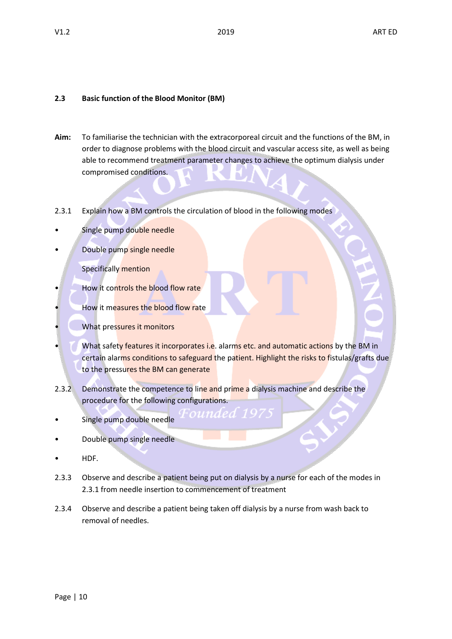# **2.3 Basic function of the Blood Monitor (BM)**

- **Aim:** To familiarise the technician with the extracorporeal circuit and the functions of the BM, in order to diagnose problems with the blood circuit and vascular access site, as well as being able to recommend treatment parameter changes to achieve the optimum dialysis under compromised conditions.
- 2.3.1 Explain how a BM controls the circulation of blood in the following modes
- Single pump double needle
- Double pump single needle

Specifically mention

- How it controls the blood flow rate
- How it measures the blood flow rate
- What pressures it monitors
- What safety features it incorporates i.e. alarms etc. and automatic actions by the BM in certain alarms conditions to safeguard the patient. Highlight the risks to fistulas/grafts due to the pressures the BM can generate
- 2.3.2 Demonstrate the competence to line and prime a dialysis machine and describe the procedure for the following configurations.
- Single pump double needle
- Double pump single needle
- HDF.
- 2.3.3 Observe and describe a patient being put on dialysis by a nurse for each of the modes in 2.3.1 from needle insertion to commencement of treatment
- 2.3.4 Observe and describe a patient being taken off dialysis by a nurse from wash back to removal of needles.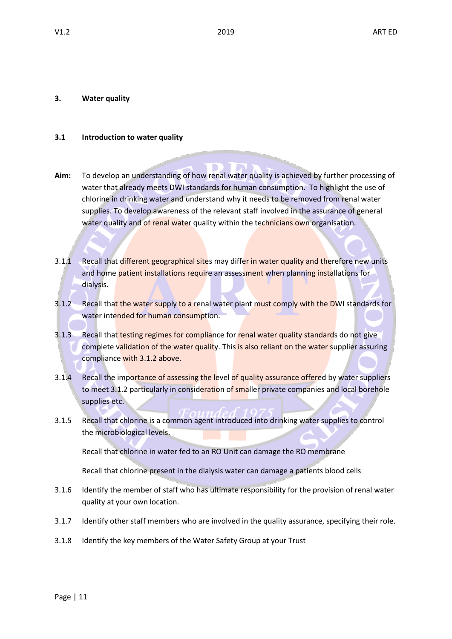#### **3. Water quality**

#### **3.1 Introduction to water quality**

- **Aim:** To develop an understanding of how renal water quality is achieved by further processing of water that already meets DWI standards for human consumption. To highlight the use of chlorine in drinking water and understand why it needs to be removed from renal water supplies. To develop awareness of the relevant staff involved in the assurance of general water quality and of renal water quality within the technicians own organisation.
- 3.1.1 Recall that different geographical sites may differ in water quality and therefore new units and home patient installations require an assessment when planning installations for dialysis.
- 3.1.2 Recall that the water supply to a renal water plant must comply with the DWI standards for water intended for human consumption.
- 3.1.3 Recall that testing regimes for compliance for renal water quality standards do not give complete validation of the water quality. This is also reliant on the water supplier assuring compliance with 3.1.2 above.
- 3.1.4 Recall the importance of assessing the level of quality assurance offered by water suppliers to meet 3.1.2 particularly in consideration of smaller private companies and local borehole supplies etc.
- 3.1.5 Recall that chlorine is a common agent introduced into drinking water supplies to control the microbiological levels.

Recall that chlorine in water fed to an RO Unit can damage the RO membrane

Recall that chlorine present in the dialysis water can damage a patients blood cells

- 3.1.6 Identify the member of staff who has ultimate responsibility for the provision of renal water quality at your own location.
- 3.1.7 Identify other staff members who are involved in the quality assurance, specifying their role.
- 3.1.8 Identify the key members of the Water Safety Group at your Trust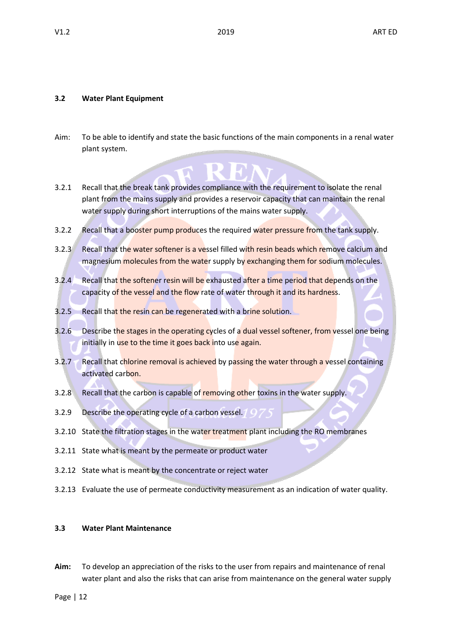#### **3.2 Water Plant Equipment**

- Aim: To be able to identify and state the basic functions of the main components in a renal water plant system.
- 3.2.1 Recall that the break tank provides compliance with the requirement to isolate the renal plant from the mains supply and provides a reservoir capacity that can maintain the renal water supply during short interruptions of the mains water supply.
- 3.2.2 Recall that a booster pump produces the required water pressure from the tank supply.
- 3.2.3 Recall that the water softener is a vessel filled with resin beads which remove calcium and magnesium molecules from the water supply by exchanging them for sodium molecules.
- 3.2.4 Recall that the softener resin will be exhausted after a time period that depends on the capacity of the vessel and the flow rate of water through it and its hardness.
- 3.2.5 Recall that the resin can be regenerated with a brine solution.
- 3.2.6 Describe the stages in the operating cycles of a dual vessel softener, from vessel one being initially in use to the time it goes back into use again.
- 3.2.7 Recall that chlorine removal is achieved by passing the water through a vessel containing activated carbon.
- 3.2.8 Recall that the carbon is capable of removing other toxins in the water supply.
- 3.2.9 Describe the operating cycle of a carbon vessel. <sup>1</sup> Q
- 3.2.10 State the filtration stages in the water treatment plant including the RO membranes
- 3.2.11 State what is meant by the permeate or product water
- 3.2.12 State what is meant by the concentrate or reject water
- 3.2.13 Evaluate the use of permeate conductivity measurement as an indication of water quality.

#### **3.3 Water Plant Maintenance**

**Aim:** To develop an appreciation of the risks to the user from repairs and maintenance of renal water plant and also the risks that can arise from maintenance on the general water supply

Page | 12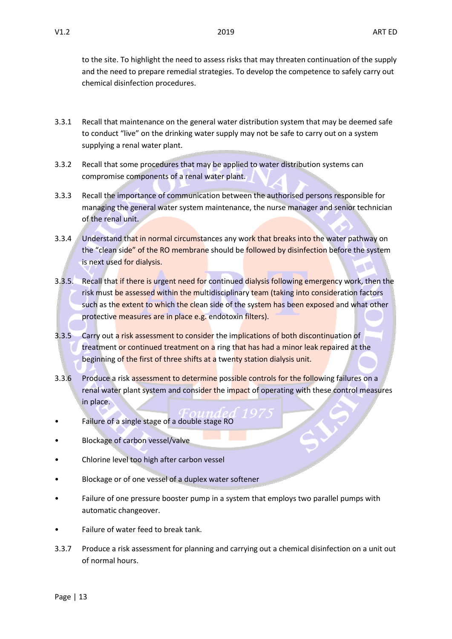to the site. To highlight the need to assess risks that may threaten continuation of the supply and the need to prepare remedial strategies. To develop the competence to safely carry out chemical disinfection procedures.

- 3.3.1 Recall that maintenance on the general water distribution system that may be deemed safe to conduct "live" on the drinking water supply may not be safe to carry out on a system supplying a renal water plant.
- 3.3.2 Recall that some procedures that may be applied to water distribution systems can compromise components of a renal water plant.
- 3.3.3 Recall the importance of communication between the authorised persons responsible for managing the general water system maintenance, the nurse manager and senior technician of the renal unit.
- 3.3.4 Understand that in normal circumstances any work that breaks into the water pathway on the "clean side" of the RO membrane should be followed by disinfection before the system is next used for dialysis.
- 3.3.5. Recall that if there is urgent need for continued dialysis following emergency work, then the risk must be assessed within the multidisciplinary team (taking into consideration factors such as the extent to which the clean side of the system has been exposed and what other protective measures are in place e.g. endotoxin filters).
- 3.3.5 Carry out a risk assessment to consider the implications of both discontinuation of treatment or continued treatment on a ring that has had a minor leak repaired at the beginning of the first of three shifts at a twenty station dialysis unit.
- 3.3.6 Produce a risk assessment to determine possible controls for the following failures on a renal water plant system and consider the impact of operating with these control measures in place.
- Failure of a single stage of a double stage RO
- Blockage of carbon vessel/valve
- Chlorine level too high after carbon vessel
- Blockage or of one vessel of a duplex water softener
- Failure of one pressure booster pump in a system that employs two parallel pumps with automatic changeover.
- Failure of water feed to break tank.
- 3.3.7 Produce a risk assessment for planning and carrying out a chemical disinfection on a unit out of normal hours.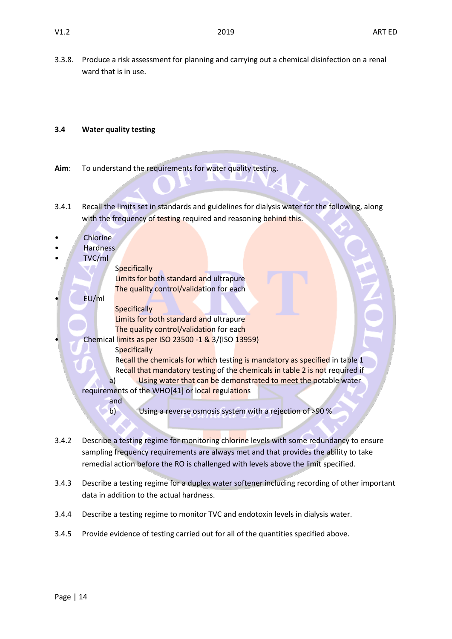3.3.8. Produce a risk assessment for planning and carrying out a chemical disinfection on a renal ward that is in use.

# **3.4 Water quality testing**

- **Aim**: To understand the requirements for water quality testing.
- 3.4.1 Recall the limits set in standards and guidelines for dialysis water for the following, along with the frequency of testing required and reasoning behind this.
- **Chlorine**
- Hardness
- $\overline{\mathbf{r}}$

|                                                  | I VU/MI                                                                      |  |  |
|--------------------------------------------------|------------------------------------------------------------------------------|--|--|
|                                                  | <b>Specifically</b>                                                          |  |  |
|                                                  | Limits for both standard and ultrapure                                       |  |  |
|                                                  | The quality control/validation for each                                      |  |  |
|                                                  | EU/ml                                                                        |  |  |
|                                                  | <b>Specifically</b>                                                          |  |  |
|                                                  | Limits for both standard and ultrapure                                       |  |  |
|                                                  | The quality control/validation for each                                      |  |  |
|                                                  | Chemical limits as per ISO 23500 -1 & 3/(ISO 13959)                          |  |  |
|                                                  | <b>Specifically</b>                                                          |  |  |
|                                                  | Recall the chemicals for which testing is mandatory as specified in table 1  |  |  |
|                                                  | Recall that mandatory testing of the chemicals in table 2 is not required if |  |  |
|                                                  | Using water that can be demonstrated to meet the potable water<br>a)         |  |  |
| requirements of the WHO[41] or local regulations |                                                                              |  |  |
|                                                  | and                                                                          |  |  |
|                                                  | b)<br>Using a reverse osmosis system with a rejection of >90 %               |  |  |

- 3.4.2 Describe a testing regime for monitoring chlorine levels with some redundancy to ensure sampling frequency requirements are always met and that provides the ability to take remedial action before the RO is challenged with levels above the limit specified.
- 3.4.3 Describe a testing regime for a duplex water softener including recording of other important data in addition to the actual hardness.
- 3.4.4 Describe a testing regime to monitor TVC and endotoxin levels in dialysis water.
- 3.4.5 Provide evidence of testing carried out for all of the quantities specified above.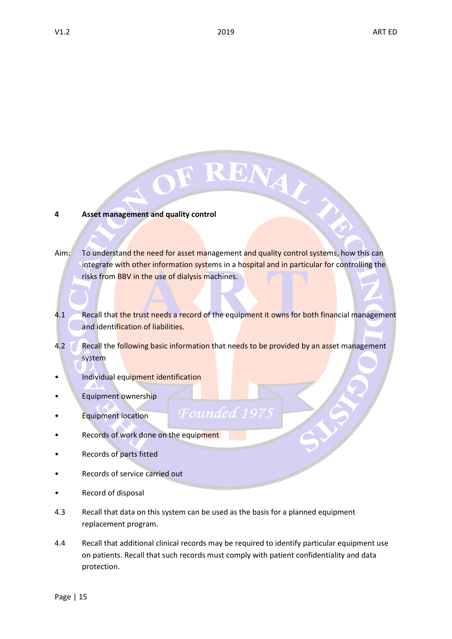### **4 Asset management and quality control**

Aim: To understand the need for asset management and quality control systems, how this can integrate with other information systems in a hospital and in particular for controlling the risks from BBV in the use of dialysis machines.

RENAL

- 4.1 Recall that the trust needs a record of the equipment it owns for both financial management and identification of liabilities.
- 4.2 Recall the following basic information that needs to be provided by an asset management system
- Individual equipment identification
- Equipment ownership
- Equipment location
- Records of work done on the equipment
- Records of parts fitted
- Records of service carried out
- Record of disposal
- 4.3 Recall that data on this system can be used as the basis for a planned equipment replacement program.

Founded

4.4 Recall that additional clinical records may be required to identify particular equipment use on patients. Recall that such records must comply with patient confidentiality and data protection.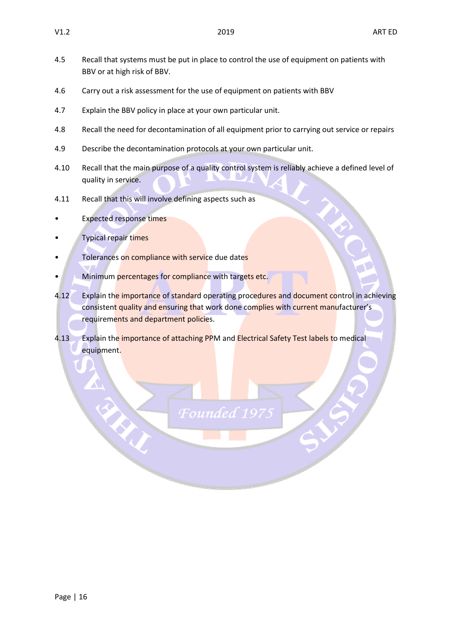- 4.5 Recall that systems must be put in place to control the use of equipment on patients with BBV or at high risk of BBV.
- 4.6 Carry out a risk assessment for the use of equipment on patients with BBV
- 4.7 Explain the BBV policy in place at your own particular unit.
- 4.8 Recall the need for decontamination of all equipment prior to carrying out service or repairs
- 4.9 Describe the decontamination protocols at your own particular unit.
- 4.10 Recall that the main purpose of a quality control system is reliably achieve a defined level of quality in service.
- 4.11 Recall that this will involve defining aspects such as
- **Expected response times**
- Typical repair times
- Tolerances on compliance with service due dates
- Minimum percentages for compliance with targets etc.
- 4.12 Explain the importance of standard operating procedures and document control in achieving consistent quality and ensuring that work done complies with current manufacturer's requirements and department policies.
- 4.13 Explain the importance of attaching PPM and Electrical Safety Test labels to medical equipment.

Founder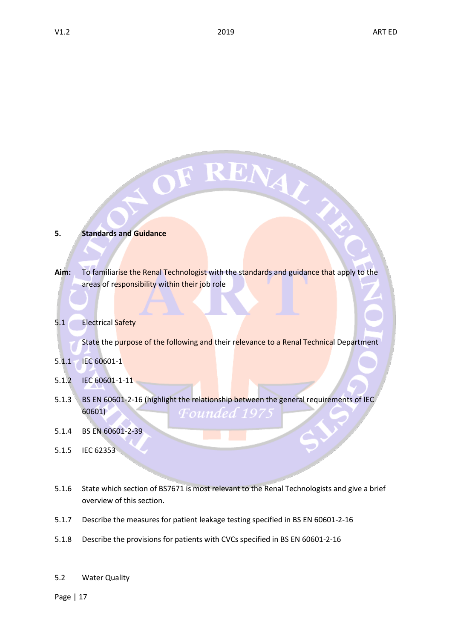# **5. Standards and Guidance**

- **Aim:** To familiarise the Renal Technologist with the standards and guidance that apply to the areas of responsibility within their job role
- 5.1 Electrical Safety

State the purpose of the following and their relevance to a Renal Technical Department

OF RENAY

- 5.1.1 IEC 60601-1
- 5.1.2 IEC 60601-1-11
- 5.1.3 BS EN 60601-2-16 (highlight the relationship between the general requirements of IEC 60601) Founded 197.
- 5.1.4 BS EN 60601-2-39
- 5.1.5 IEC 62353
- 5.1.6 State which section of BS7671 is most relevant to the Renal Technologists and give a brief overview of this section.
- 5.1.7 Describe the measures for patient leakage testing specified in BS EN 60601-2-16
- 5.1.8 Describe the provisions for patients with CVCs specified in BS EN 60601-2-16
- 5.2 Water Quality

Page | 17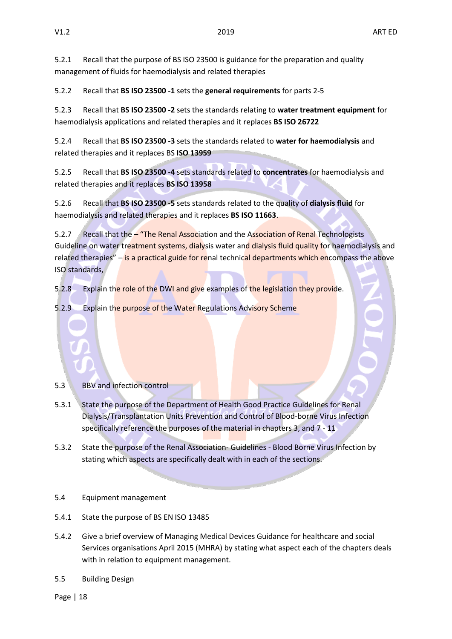5.2.1 Recall that the purpose of BS ISO 23500 is guidance for the preparation and quality management of fluids for haemodialysis and related therapies

5.2.2 Recall that **BS ISO 23500 -1** sets the **general requirements** for parts 2-5

5.2.3 Recall that **BS ISO 23500 -2** sets the standards relating to **water treatment equipment** for haemodialysis applications and related therapies and it replaces **BS ISO 26722**

5.2.4 Recall that **BS ISO 23500 -3** sets the standards related to **water for haemodialysis** and related therapies and it replaces BS **ISO 13959**

5.2.5 Recall that **BS ISO 23500 -4** sets standards related to **concentrates** for haemodialysis and related therapies and it replaces **BS ISO 13958**

5.2.6 Recall that **BS ISO 23500 -5** sets standards related to the quality of **dialysis fluid** for haemodialysis and related therapies and it replaces **BS ISO 11663**.

5.2.7 Recall that the - "The Renal Association and the Association of Renal Technologists Guideline on water treatment systems, dialysis water and dialysis fluid quality for haemodialysis and related therapies" – is a practical guide for renal technical departments which encompass the above ISO standards,

5.2.8 Explain the role of the DWI and give examples of the legislation they provide.

5.2.9 Explain the purpose of the Water Regulations Advisory Scheme

# 5.3 BBV and infection control

- 5.3.1 State the purpose of the Department of Health Good Practice Guidelines for Renal Dialysis/Transplantation Units Prevention and Control of Blood-borne Virus Infection specifically reference the purposes of the material in chapters 3, and 7 - 11
- 5.3.2 State the purpose of the Renal Association- Guidelines Blood Borne Virus Infection by stating which aspects are specifically dealt with in each of the sections.

# 5.4 Equipment management

- 5.4.1 State the purpose of BS EN ISO 13485
- 5.4.2 Give a brief overview of Managing Medical Devices Guidance for healthcare and social Services organisations April 2015 (MHRA) by stating what aspect each of the chapters deals with in relation to equipment management.
- 5.5 Building Design

Page | 18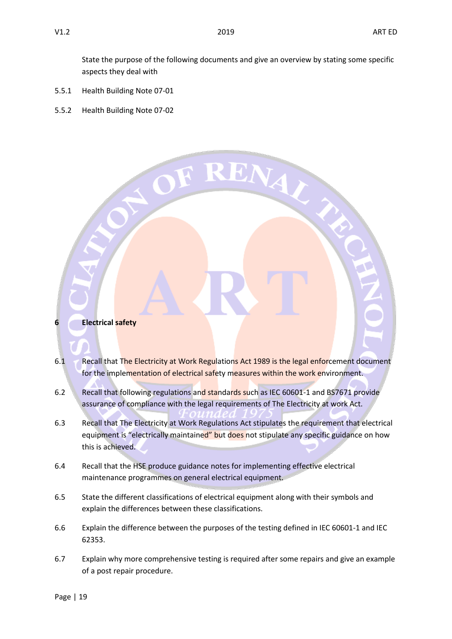State the purpose of the following documents and give an overview by stating some specific aspects they deal with

- 5.5.1 Health Building Note 07-01
- 5.5.2 Health Building Note 07-02



- 6.1 Recall that The Electricity at Work Regulations Act 1989 is the legal enforcement document for the implementation of electrical safety measures within the work environment.
- 6.2 Recall that following regulations and standards such as IEC 60601-1 and BS7671 provide assurance of compliance with the legal requirements of The Electricity at work Act.
- 6.3 Recall that The Electricity at Work Regulations Act stipulates the requirement that electrical equipment is "electrically maintained" but does not stipulate any specific guidance on how this is achieved.
- 6.4 Recall that the HSE produce guidance notes for implementing effective electrical maintenance programmes on general electrical equipment.
- 6.5 State the different classifications of electrical equipment along with their symbols and explain the differences between these classifications.
- 6.6 Explain the difference between the purposes of the testing defined in IEC 60601-1 and IEC 62353.
- 6.7 Explain why more comprehensive testing is required after some repairs and give an example of a post repair procedure.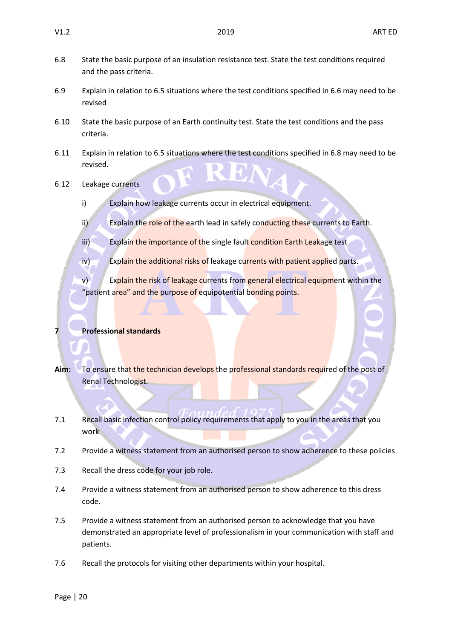- 6.8 State the basic purpose of an insulation resistance test. State the test conditions required and the pass criteria.
- 6.9 Explain in relation to 6.5 situations where the test conditions specified in 6.6 may need to be revised
- 6.10 State the basic purpose of an Earth continuity test. State the test conditions and the pass criteria.
- 6.11 Explain in relation to 6.5 situations where the test conditions specified in 6.8 may need to be revised.
- 6.12 Leakage currents
	- i) Explain how leakage currents occur in electrical equipment.
	- ii) Explain the role of the earth lead in safely conducting these currents to Earth.
	- iii) Explain the importance of the single fault condition Earth Leakage test
	- iv) Explain the additional risks of leakage currents with patient applied parts.
	- v) Explain the risk of leakage currents from general electrical equipment within the "patient area" and the purpose of equipotential bonding points.

# **7 Professional standards**

- **Aim:** To ensure that the technician develops the professional standards required of the post of Renal Technologist.
- 7.1 Recall basic infection control policy requirements that apply to you in the areas that you work
- 7.2 Provide a witness statement from an authorised person to show adherence to these policies
- 7.3 Recall the dress code for your job role.
- 7.4 Provide a witness statement from an authorised person to show adherence to this dress code.
- 7.5 Provide a witness statement from an authorised person to acknowledge that you have demonstrated an appropriate level of professionalism in your communication with staff and patients.
- 7.6 Recall the protocols for visiting other departments within your hospital.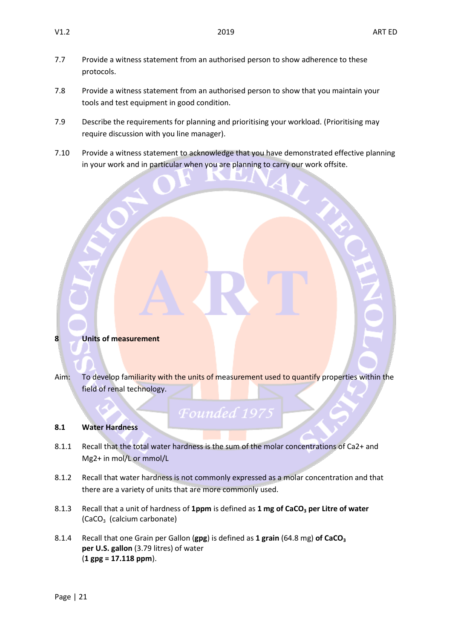- 7.7 Provide a witness statement from an authorised person to show adherence to these protocols.
- 7.8 Provide a witness statement from an authorised person to show that you maintain your tools and test equipment in good condition.
- 7.9 Describe the requirements for planning and prioritising your workload. (Prioritising may require discussion with you line manager).
- 7.10 Provide a witness statement to acknowledge that you have demonstrated effective planning in your work and in particular when you are planning to carry our work offsite.

**8 Units of measurement**

Aim: To develop familiarity with the units of measurement used to quantify properties within the field of renal technology.

# Founded 1975

# **8.1 Water Hardness**

- 8.1.1 Recall that the total water hardness is the sum of the molar concentrations of Ca2+ and Mg2+ in mol/L or mmol/L
- 8.1.2 Recall that water hardness is not commonly expressed as a molar concentration and that there are a variety of units that are more commonly used.
- 8.1.3 Recall that a unit of hardness of 1ppm is defined as 1 mg of CaCO<sub>3</sub> per Litre of water (CaCO3 (calcium carbonate)
- 8.1.4 Recall that one Grain per Gallon (**gpg**) is defined as **1 grain** (64.8 mg) **of CaCO<sup>3</sup> per U.S. gallon** (3.79 litres) of water (**1 gpg = 17.118 ppm**).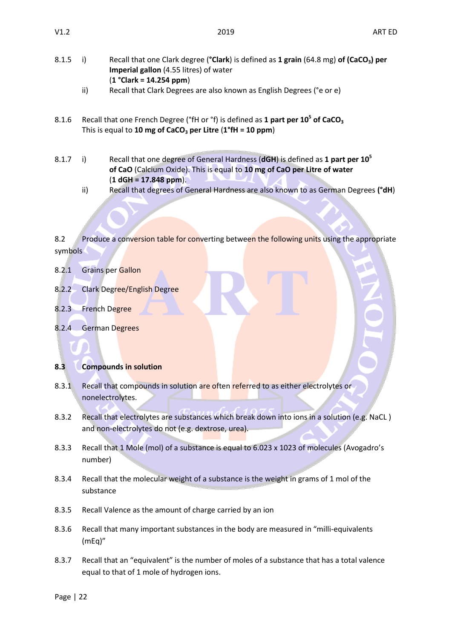- 
- 8.1.5 i) Recall that one Clark degree (**°Clark**) is defined as **1 grain** (64.8 mg) **of (CaCO3) per Imperial gallon** (4.55 litres) of water (**1 °Clark = 14.254 ppm**)
	- ii) Recall that Clark Degrees are also known as English Degrees (°e or e)
- 8.1.6 Recall that one French Degree (°fH or °f) is defined as **1 part per 10<sup>5</sup> of CaCO<sup>3</sup>** This is equal to **10 mg of CaCO<sup>3</sup> per Litre** (**1°fH = 10 ppm**)
- 8.1.7 i) Recall that one degree of General Hardness (**dGH**) is defined as **1 part per 10<sup>5</sup> of CaO** (Calcium Oxide). This is equal to **10 mg of CaO per Litre of water** (**1 dGH = 17.848 ppm**).
	- ii) Recall that degrees of General Hardness are also known to as German Degrees **(°dH**)

8.2 Produce a conversion table for converting between the following units using the appropriate symbols

- 8.2.1 Grains per Gallon
- 8.2.2 Clark Degree/English Degree
- 8.2.3 French Degree
- 8.2.4 German Degrees

# **8.3 Compounds in solution**

- 8.3.1 Recall that compounds in solution are often referred to as either electrolytes or nonelectrolytes.
- 8.3.2 Recall that electrolytes are substances which break down into ions in a solution (e.g. NaCL ) and non-electrolytes do not (e.g. dextrose, urea).
- 8.3.3 Recall that 1 Mole (mol) of a substance is equal to 6.023 x 1023 of molecules (Avogadro's number)
- 8.3.4 Recall that the molecular weight of a substance is the weight in grams of 1 mol of the substance
- 8.3.5 Recall Valence as the amount of charge carried by an ion
- 8.3.6 Recall that many important substances in the body are measured in "milli-equivalents (mEq)"
- 8.3.7 Recall that an "equivalent" is the number of moles of a substance that has a total valence equal to that of 1 mole of hydrogen ions.

Page | 22